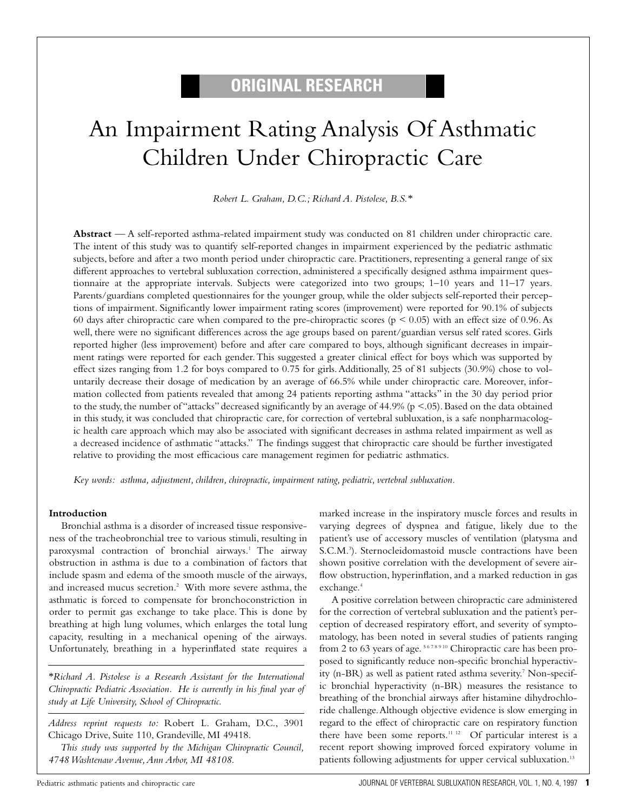# **ORIGINAL RESEARCH**

# An Impairment Rating Analysis Of Asthmatic Children Under Chiropractic Care

*Robert L. Graham, D.C.; Richard A. Pistolese, B.S.\**

**Abstract** — A self-reported asthma-related impairment study was conducted on 81 children under chiropractic care. The intent of this study was to quantify self-reported changes in impairment experienced by the pediatric asthmatic subjects, before and after a two month period under chiropractic care. Practitioners, representing a general range of six different approaches to vertebral subluxation correction, administered a specifically designed asthma impairment questionnaire at the appropriate intervals. Subjects were categorized into two groups; 1–10 years and 11–17 years. Parents/guardians completed questionnaires for the younger group, while the older subjects self-reported their perceptions of impairment. Significantly lower impairment rating scores (improvement) were reported for 90.1% of subjects 60 days after chiropractic care when compared to the pre-chiropractic scores ( $p \le 0.05$ ) with an effect size of 0.96. As well, there were no significant differences across the age groups based on parent/guardian versus self rated scores. Girls reported higher (less improvement) before and after care compared to boys, although significant decreases in impairment ratings were reported for each gender.This suggested a greater clinical effect for boys which was supported by effect sizes ranging from 1.2 for boys compared to 0.75 for girls.Additionally, 25 of 81 subjects (30.9%) chose to voluntarily decrease their dosage of medication by an average of 66.5% while under chiropractic care. Moreover, information collected from patients revealed that among 24 patients reporting asthma "attacks" in the 30 day period prior to the study, the number of "attacks" decreased significantly by an average of 44.9% ( $p < .05$ ). Based on the data obtained in this study, it was concluded that chiropractic care, for correction of vertebral subluxation, is a safe nonpharmacologic health care approach which may also be associated with significant decreases in asthma related impairment as well as a decreased incidence of asthmatic "attacks." The findings suggest that chiropractic care should be further investigated relative to providing the most efficacious care management regimen for pediatric asthmatics.

*Key words: asthma, adjustment, children, chiropractic, impairment rating, pediatric, vertebral subluxation.*

#### **Introduction**

Bronchial asthma is a disorder of increased tissue responsiveness of the tracheobronchial tree to various stimuli, resulting in paroxysmal contraction of bronchial airways.<sup>1</sup> The airway obstruction in asthma is due to a combination of factors that include spasm and edema of the smooth muscle of the airways, and increased mucus secretion.2 With more severe asthma, the asthmatic is forced to compensate for bronchoconstriction in order to permit gas exchange to take place. This is done by breathing at high lung volumes, which enlarges the total lung capacity, resulting in a mechanical opening of the airways. Unfortunately, breathing in a hyperinflated state requires a

*\*Richard A. Pistolese is a Research Assistant for the International Chiropractic Pediatric Association. He is currently in his final year of study at Life University, School of Chiropractic.*

*Address reprint requests to:* Robert L. Graham, D.C., 3901 Chicago Drive, Suite 110, Grandeville, MI 49418.

*This study was supported by the Michigan Chiropractic Council, 4748 Washtenaw Avenue,Ann Arbor, MI 48108.*

marked increase in the inspiratory muscle forces and results in varying degrees of dyspnea and fatigue, likely due to the patient's use of accessory muscles of ventilation (platysma and S.C.M.3 ). Sternocleidomastoid muscle contractions have been shown positive correlation with the development of severe airflow obstruction, hyperinflation, and a marked reduction in gas exchange.<sup>4</sup>

A positive correlation between chiropractic care administered for the correction of vertebral subluxation and the patient's perception of decreased respiratory effort, and severity of symptomatology, has been noted in several studies of patients ranging from 2 to 63 years of age.<sup>5678910</sup> Chiropractic care has been proposed to significantly reduce non-specific bronchial hyperactivity (n-BR) as well as patient rated asthma severity.<sup>7</sup> Non-specific bronchial hyperactivity (n-BR) measures the resistance to breathing of the bronchial airways after histamine dihydrochloride challenge.Although objective evidence is slow emerging in regard to the effect of chiropractic care on respiratory function there have been some reports.<sup>11 12</sup> Of particular interest is a recent report showing improved forced expiratory volume in patients following adjustments for upper cervical subluxation.<sup>13</sup>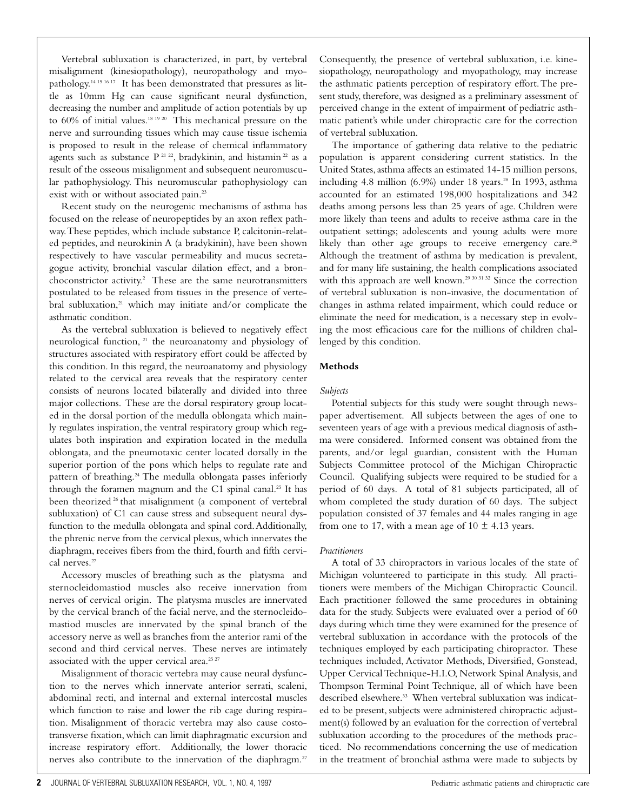Vertebral subluxation is characterized, in part, by vertebral misalignment (kinesiopathology), neuropathology and myopathology.14 15 16 17 It has been demonstrated that pressures as little as 10mm Hg can cause significant neural dysfunction, decreasing the number and amplitude of action potentials by up to 60% of initial values.18 19 20 This mechanical pressure on the nerve and surrounding tissues which may cause tissue ischemia is proposed to result in the release of chemical inflammatory agents such as substance P<sup>21 22</sup>, bradykinin, and histamin<sup>22</sup> as a result of the osseous misalignment and subsequent neuromuscular pathophysiology. This neuromuscular pathophysiology can exist with or without associated pain.<sup>23</sup>

Recent study on the neurogenic mechanisms of asthma has focused on the release of neuropeptides by an axon reflex pathway.These peptides, which include substance P, calcitonin-related peptides, and neurokinin A (a bradykinin), have been shown respectively to have vascular permeability and mucus secretagogue activity, bronchial vascular dilation effect, and a bronchoconstrictor activity.<sup>2</sup> These are the same neurotransmitters postulated to be released from tissues in the presence of vertebral subluxation,<sup>21</sup> which may initiate and/or complicate the asthmatic condition.

As the vertebral subluxation is believed to negatively effect neurological function, <sup>21</sup> the neuroanatomy and physiology of structures associated with respiratory effort could be affected by this condition. In this regard, the neuroanatomy and physiology related to the cervical area reveals that the respiratory center consists of neurons located bilaterally and divided into three major collections. These are the dorsal respiratory group located in the dorsal portion of the medulla oblongata which mainly regulates inspiration, the ventral respiratory group which regulates both inspiration and expiration located in the medulla oblongata, and the pneumotaxic center located dorsally in the superior portion of the pons which helps to regulate rate and pattern of breathing.<sup>24</sup> The medulla oblongata passes inferiorly through the foramen magnum and the C1 spinal canal.<sup>25</sup> It has been theorized<sup>26</sup> that misalignment (a component of vertebral subluxation) of C1 can cause stress and subsequent neural dysfunction to the medulla oblongata and spinal cord.Additionally, the phrenic nerve from the cervical plexus, which innervates the diaphragm, receives fibers from the third, fourth and fifth cervical nerves.<sup>27</sup>

Accessory muscles of breathing such as the platysma and sternocleidomastiod muscles also receive innervation from nerves of cervical origin. The platysma muscles are innervated by the cervical branch of the facial nerve, and the sternocleidomastiod muscles are innervated by the spinal branch of the accessory nerve as well as branches from the anterior rami of the second and third cervical nerves. These nerves are intimately associated with the upper cervical area.<sup>25.27</sup>

Misalignment of thoracic vertebra may cause neural dysfunction to the nerves which innervate anterior serrati, scaleni, abdominal recti, and internal and external intercostal muscles which function to raise and lower the rib cage during respiration. Misalignment of thoracic vertebra may also cause costotransverse fixation, which can limit diaphragmatic excursion and increase respiratory effort. Additionally, the lower thoracic nerves also contribute to the innervation of the diaphragm.<sup>27</sup> Consequently, the presence of vertebral subluxation, i.e. kinesiopathology, neuropathology and myopathology, may increase the asthmatic patients perception of respiratory effort.The present study, therefore, was designed as a preliminary assessment of perceived change in the extent of impairment of pediatric asthmatic patient's while under chiropractic care for the correction of vertebral subluxation.

The importance of gathering data relative to the pediatric population is apparent considering current statistics. In the United States, asthma affects an estimated 14-15 million persons, including 4.8 million (6.9%) under 18 years.<sup>28</sup> In 1993, asthma accounted for an estimated 198,000 hospitalizations and 342 deaths among persons less than 25 years of age. Children were more likely than teens and adults to receive asthma care in the outpatient settings; adolescents and young adults were more likely than other age groups to receive emergency care.<sup>28</sup> Although the treatment of asthma by medication is prevalent, and for many life sustaining, the health complications associated with this approach are well known.<sup>29 30 31 32</sup> Since the correction of vertebral subluxation is non-invasive, the documentation of changes in asthma related impairment, which could reduce or eliminate the need for medication, is a necessary step in evolving the most efficacious care for the millions of children challenged by this condition.

#### **Methods**

#### *Subjects*

Potential subjects for this study were sought through newspaper advertisement. All subjects between the ages of one to seventeen years of age with a previous medical diagnosis of asthma were considered. Informed consent was obtained from the parents, and/or legal guardian, consistent with the Human Subjects Committee protocol of the Michigan Chiropractic Council. Qualifying subjects were required to be studied for a period of 60 days. A total of 81 subjects participated, all of whom completed the study duration of 60 days. The subject population consisted of 37 females and 44 males ranging in age from one to 17, with a mean age of  $10 \pm 4.13$  years.

#### *Practitioners*

A total of 33 chiropractors in various locales of the state of Michigan volunteered to participate in this study. All practitioners were members of the Michigan Chiropractic Council. Each practitioner followed the same procedures in obtaining data for the study. Subjects were evaluated over a period of 60 days during which time they were examined for the presence of vertebral subluxation in accordance with the protocols of the techniques employed by each participating chiropractor. These techniques included, Activator Methods, Diversified, Gonstead, Upper Cervical Technique-H.I.O, Network Spinal Analysis, and Thompson Terminal Point Technique, all of which have been described elsewhere.<sup>33</sup> When vertebral subluxation was indicated to be present, subjects were administered chiropractic adjustment(s) followed by an evaluation for the correction of vertebral subluxation according to the procedures of the methods practiced. No recommendations concerning the use of medication in the treatment of bronchial asthma were made to subjects by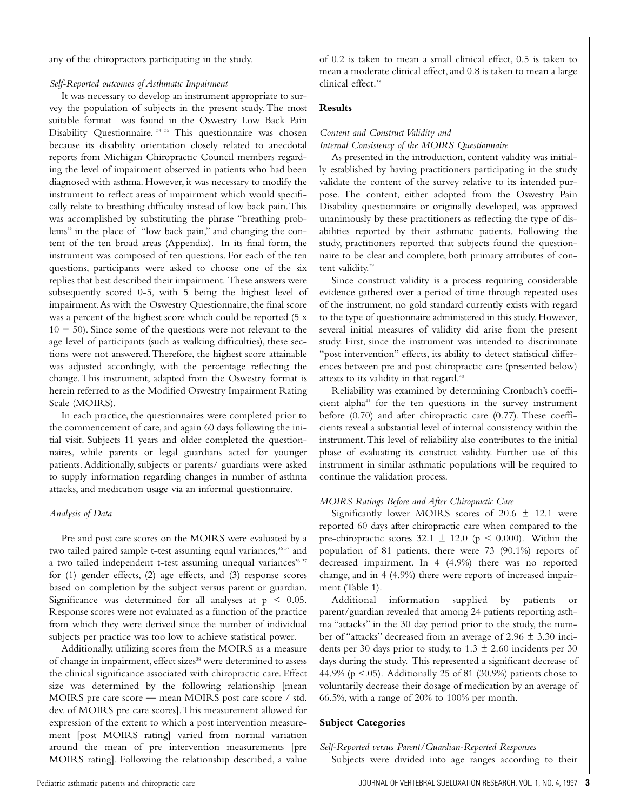any of the chiropractors participating in the study.

#### *Self-Reported outcomes of Asthmatic Impairment*

It was necessary to develop an instrument appropriate to survey the population of subjects in the present study. The most suitable format was found in the Oswestry Low Back Pain Disability Questionnaire. 34 35 This questionnaire was chosen because its disability orientation closely related to anecdotal reports from Michigan Chiropractic Council members regarding the level of impairment observed in patients who had been diagnosed with asthma. However, it was necessary to modify the instrument to reflect areas of impairment which would specifically relate to breathing difficulty instead of low back pain.This was accomplished by substituting the phrase "breathing problems" in the place of "low back pain," and changing the content of the ten broad areas (Appendix). In its final form, the instrument was composed of ten questions. For each of the ten questions, participants were asked to choose one of the six replies that best described their impairment. These answers were subsequently scored 0-5, with 5 being the highest level of impairment.As with the Oswestry Questionnaire, the final score was a percent of the highest score which could be reported (5 x  $10 = 50$ ). Since some of the questions were not relevant to the age level of participants (such as walking difficulties), these sections were not answered.Therefore, the highest score attainable was adjusted accordingly, with the percentage reflecting the change. This instrument, adapted from the Oswestry format is herein referred to as the Modified Oswestry Impairment Rating Scale (MOIRS).

In each practice, the questionnaires were completed prior to the commencement of care, and again 60 days following the initial visit. Subjects 11 years and older completed the questionnaires, while parents or legal guardians acted for younger patients. Additionally, subjects or parents/ guardians were asked to supply information regarding changes in number of asthma attacks, and medication usage via an informal questionnaire.

#### *Analysis of Data*

Pre and post care scores on the MOIRS were evaluated by a two tailed paired sample t-test assuming equal variances,<sup>36 37</sup> and a two tailed independent t-test assuming unequal variances<sup>36 37</sup> for (1) gender effects, (2) age effects, and (3) response scores based on completion by the subject versus parent or guardian. Significance was determined for all analyses at  $p < 0.05$ . Response scores were not evaluated as a function of the practice from which they were derived since the number of individual subjects per practice was too low to achieve statistical power.

Additionally, utilizing scores from the MOIRS as a measure of change in impairment, effect sizes<sup>38</sup> were determined to assess the clinical significance associated with chiropractic care. Effect size was determined by the following relationship [mean MOIRS pre care score — mean MOIRS post care score / std. dev. of MOIRS pre care scores].This measurement allowed for expression of the extent to which a post intervention measurement [post MOIRS rating] varied from normal variation around the mean of pre intervention measurements [pre MOIRS rating]. Following the relationship described, a value of 0.2 is taken to mean a small clinical effect, 0.5 is taken to mean a moderate clinical effect, and 0.8 is taken to mean a large clinical effect.<sup>38</sup>

#### **Results**

#### *Content and Construct Validity and*

#### *Internal Consistency of the MOIRS Questionnaire*

As presented in the introduction, content validity was initially established by having practitioners participating in the study validate the content of the survey relative to its intended purpose. The content, either adopted from the Oswestry Pain Disability questionnaire or originally developed, was approved unanimously by these practitioners as reflecting the type of disabilities reported by their asthmatic patients. Following the study, practitioners reported that subjects found the questionnaire to be clear and complete, both primary attributes of content validity.<sup>39</sup>

Since construct validity is a process requiring considerable evidence gathered over a period of time through repeated uses of the instrument, no gold standard currently exists with regard to the type of questionnaire administered in this study. However, several initial measures of validity did arise from the present study. First, since the instrument was intended to discriminate "post intervention" effects, its ability to detect statistical differences between pre and post chiropractic care (presented below) attests to its validity in that regard.<sup>40</sup>

Reliability was examined by determining Cronbach's coefficient alpha<sup>41</sup> for the ten questions in the survey instrument before (0.70) and after chiropractic care (0.77). These coefficients reveal a substantial level of internal consistency within the instrument.This level of reliability also contributes to the initial phase of evaluating its construct validity. Further use of this instrument in similar asthmatic populations will be required to continue the validation process.

#### *MOIRS Ratings Before and After Chiropractic Care*

Significantly lower MOIRS scores of  $20.6 \pm 12.1$  were reported 60 days after chiropractic care when compared to the pre-chiropractic scores  $32.1 \pm 12.0$  (p < 0.000). Within the population of 81 patients, there were 73 (90.1%) reports of decreased impairment. In 4 (4.9%) there was no reported change, and in 4 (4.9%) there were reports of increased impairment (Table 1).

Additional information supplied by patients or parent/guardian revealed that among 24 patients reporting asthma "attacks" in the 30 day period prior to the study, the number of "attacks" decreased from an average of  $2.96 \pm 3.30$  incidents per 30 days prior to study, to  $1.3 \pm 2.60$  incidents per 30 days during the study. This represented a significant decrease of 44.9% ( $p < .05$ ). Additionally 25 of 81 (30.9%) patients chose to voluntarily decrease their dosage of medication by an average of 66.5%, with a range of 20% to 100% per month.

#### **Subject Categories**

*Self-Reported versus Parent/Guardian-Reported Responses* Subjects were divided into age ranges according to their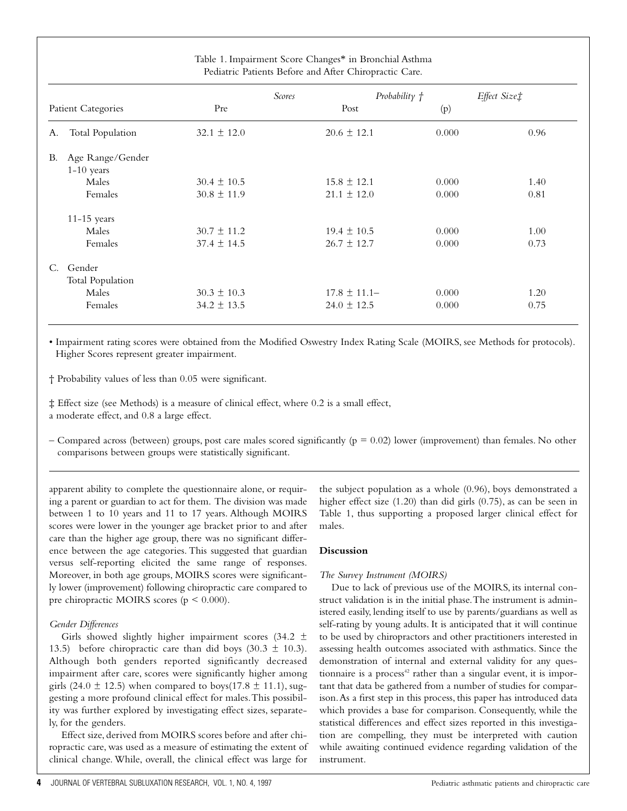| Table 1. Impairment Score Changes* in Bronchial Asthma<br>Pediatric Patients Before and After Chiropractic Care. |                 |                                  |       |              |
|------------------------------------------------------------------------------------------------------------------|-----------------|----------------------------------|-------|--------------|
| Patient Categories                                                                                               |                 | Probability $f$<br><b>Scores</b> |       | Effect Size‡ |
|                                                                                                                  | Pre             | Post                             | (p)   |              |
| <b>Total Population</b><br>А.                                                                                    | $32.1 \pm 12.0$ | $20.6 \pm 12.1$                  | 0.000 | 0.96         |
| Age Range/Gender<br>В.                                                                                           |                 |                                  |       |              |
| $1-10$ years                                                                                                     |                 |                                  |       |              |
| Males                                                                                                            | $30.4 \pm 10.5$ | $15.8 \pm 12.1$                  | 0.000 | 1.40         |
| Females                                                                                                          | $30.8 \pm 11.9$ | $21.1 \pm 12.0$                  | 0.000 | 0.81         |
| $11-15$ years                                                                                                    |                 |                                  |       |              |
| Males                                                                                                            | $30.7 \pm 11.2$ | $19.4 \pm 10.5$                  | 0.000 | 1.00         |
| Females                                                                                                          | $37.4 \pm 14.5$ | $26.7 \pm 12.7$                  | 0.000 | 0.73         |
| Gender<br>$C_{\cdot}$                                                                                            |                 |                                  |       |              |
| Total Population                                                                                                 |                 |                                  |       |              |
| Males                                                                                                            | $30.3 \pm 10.3$ | $17.8 \pm 11.1 -$                | 0.000 | 1.20         |
| Females                                                                                                          | $34.2 \pm 13.5$ | $24.0 \pm 12.5$                  | 0.000 | 0.75         |
|                                                                                                                  |                 |                                  |       |              |

• Impairment rating scores were obtained from the Modified Oswestry Index Rating Scale (MOIRS, see Methods for protocols). Higher Scores represent greater impairment.

† Probability values of less than 0.05 were significant.

‡ Effect size (see Methods) is a measure of clinical effect, where 0.2 is a small effect, a moderate effect, and 0.8 a large effect.

– Compared across (between) groups, post care males scored significantly ( $p = 0.02$ ) lower (improvement) than females. No other comparisons between groups were statistically significant.

apparent ability to complete the questionnaire alone, or requiring a parent or guardian to act for them. The division was made between 1 to 10 years and 11 to 17 years. Although MOIRS scores were lower in the younger age bracket prior to and after care than the higher age group, there was no significant difference between the age categories. This suggested that guardian versus self-reporting elicited the same range of responses. Moreover, in both age groups, MOIRS scores were significantly lower (improvement) following chiropractic care compared to pre chiropractic MOIRS scores ( $p \le 0.000$ ).

## *Gender Differences*

Girls showed slightly higher impairment scores (34.2  $\pm$ 13.5) before chiropractic care than did boys  $(30.3 \pm 10.3)$ . Although both genders reported significantly decreased impairment after care, scores were significantly higher among girls (24.0  $\pm$  12.5) when compared to boys(17.8  $\pm$  11.1), suggesting a more profound clinical effect for males.This possibility was further explored by investigating effect sizes, separately, for the genders.

Effect size, derived from MOIRS scores before and after chiropractic care, was used as a measure of estimating the extent of clinical change. While, overall, the clinical effect was large for

the subject population as a whole (0.96), boys demonstrated a higher effect size (1.20) than did girls (0.75), as can be seen in Table 1, thus supporting a proposed larger clinical effect for males.

## **Discussion**

## *The Survey Instrument (MOIRS)*

Due to lack of previous use of the MOIRS, its internal construct validation is in the initial phase.The instrument is administered easily, lending itself to use by parents/guardians as well as self-rating by young adults. It is anticipated that it will continue to be used by chiropractors and other practitioners interested in assessing health outcomes associated with asthmatics. Since the demonstration of internal and external validity for any questionnaire is a process<sup>42</sup> rather than a singular event, it is important that data be gathered from a number of studies for comparison.As a first step in this process, this paper has introduced data which provides a base for comparison. Consequently, while the statistical differences and effect sizes reported in this investigation are compelling, they must be interpreted with caution while awaiting continued evidence regarding validation of the instrument.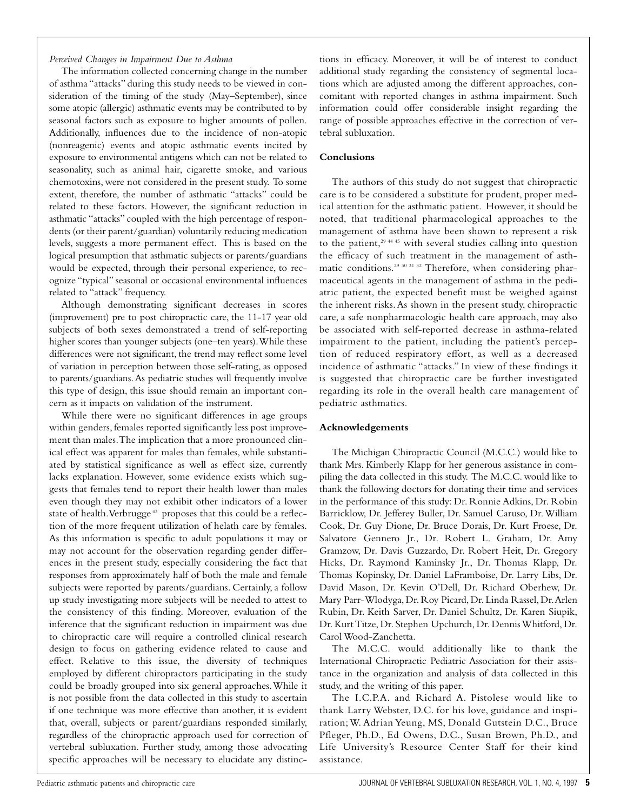#### *Perceived Changes in Impairment Due to Asthma*

The information collected concerning change in the number of asthma "attacks" during this study needs to be viewed in consideration of the timing of the study (May–September), since some atopic (allergic) asthmatic events may be contributed to by seasonal factors such as exposure to higher amounts of pollen. Additionally, influences due to the incidence of non-atopic (nonreagenic) events and atopic asthmatic events incited by exposure to environmental antigens which can not be related to seasonality, such as animal hair, cigarette smoke, and various chemotoxins, were not considered in the present study. To some extent, therefore, the number of asthmatic "attacks" could be related to these factors. However, the significant reduction in asthmatic "attacks" coupled with the high percentage of respondents (or their parent/guardian) voluntarily reducing medication levels, suggests a more permanent effect. This is based on the logical presumption that asthmatic subjects or parents/guardians would be expected, through their personal experience, to recognize "typical" seasonal or occasional environmental influences related to "attack" frequency.

Although demonstrating significant decreases in scores (improvement) pre to post chiropractic care, the 11-17 year old subjects of both sexes demonstrated a trend of self-reporting higher scores than younger subjects (one–ten years).While these differences were not significant, the trend may reflect some level of variation in perception between those self-rating, as opposed to parents/guardians.As pediatric studies will frequently involve this type of design, this issue should remain an important concern as it impacts on validation of the instrument.

While there were no significant differences in age groups within genders, females reported significantly less post improvement than males.The implication that a more pronounced clinical effect was apparent for males than females, while substantiated by statistical significance as well as effect size, currently lacks explanation. However, some evidence exists which suggests that females tend to report their health lower than males even though they may not exhibit other indicators of a lower state of health. Verbrugge<sup>43</sup> proposes that this could be a reflection of the more frequent utilization of helath care by females. As this information is specific to adult populations it may or may not account for the observation regarding gender differences in the present study, especially considering the fact that responses from approximately half of both the male and female subjects were reported by parents/guardians. Certainly, a follow up study investigating more subjects will be needed to attest to the consistency of this finding. Moreover, evaluation of the inference that the significant reduction in impairment was due to chiropractic care will require a controlled clinical research design to focus on gathering evidence related to cause and effect. Relative to this issue, the diversity of techniques employed by different chiropractors participating in the study could be broadly grouped into six general approaches.While it is not possible from the data collected in this study to ascertain if one technique was more effective than another, it is evident that, overall, subjects or parent/guardians responded similarly, regardless of the chiropractic approach used for correction of vertebral subluxation. Further study, among those advocating specific approaches will be necessary to elucidate any distinctions in efficacy. Moreover, it will be of interest to conduct additional study regarding the consistency of segmental locations which are adjusted among the different approaches, concomitant with reported changes in asthma impairment. Such information could offer considerable insight regarding the range of possible approaches effective in the correction of vertebral subluxation.

#### **Conclusions**

The authors of this study do not suggest that chiropractic care is to be considered a substitute for prudent, proper medical attention for the asthmatic patient. However, it should be noted, that traditional pharmacological approaches to the management of asthma have been shown to represent a risk to the patient, $294445$  with several studies calling into question the efficacy of such treatment in the management of asthmatic conditions.29 30 31 32 Therefore, when considering pharmaceutical agents in the management of asthma in the pediatric patient, the expected benefit must be weighed against the inherent risks.As shown in the present study, chiropractic care, a safe nonpharmacologic health care approach, may also be associated with self-reported decrease in asthma-related impairment to the patient, including the patient's perception of reduced respiratory effort, as well as a decreased incidence of asthmatic "attacks." In view of these findings it is suggested that chiropractic care be further investigated regarding its role in the overall health care management of pediatric asthmatics.

#### **Acknowledgements**

The Michigan Chiropractic Council (M.C.C.) would like to thank Mrs. Kimberly Klapp for her generous assistance in compiling the data collected in this study. The M.C.C. would like to thank the following doctors for donating their time and services in the performance of this study: Dr. Ronnie Adkins, Dr. Robin Barricklow, Dr. Jefferey Buller, Dr. Samuel Caruso, Dr.William Cook, Dr. Guy Dione, Dr. Bruce Dorais, Dr. Kurt Froese, Dr. Salvatore Gennero Jr., Dr. Robert L. Graham, Dr. Amy Gramzow, Dr. Davis Guzzardo, Dr. Robert Heit, Dr. Gregory Hicks, Dr. Raymond Kaminsky Jr., Dr. Thomas Klapp, Dr. Thomas Kopinsky, Dr. Daniel LaFramboise, Dr. Larry Libs, Dr. David Mason, Dr. Kevin O'Dell, Dr. Richard Oberhew, Dr. Mary Parr-Wlodyga, Dr. Roy Picard, Dr. Linda Rassel, Dr.Arlen Rubin, Dr. Keith Sarver, Dr. Daniel Schultz, Dr. Karen Siupik, Dr. Kurt Titze, Dr. Stephen Upchurch, Dr. Dennis Whitford, Dr. Carol Wood-Zanchetta.

The M.C.C. would additionally like to thank the International Chiropractic Pediatric Association for their assistance in the organization and analysis of data collected in this study, and the writing of this paper.

The I.C.P.A. and Richard A. Pistolese would like to thank Larry Webster, D.C. for his love, guidance and inspiration; W. Adrian Yeung, MS, Donald Gutstein D.C., Bruce Pfleger, Ph.D., Ed Owens, D.C., Susan Brown, Ph.D., and Life University's Resource Center Staff for their kind assistance.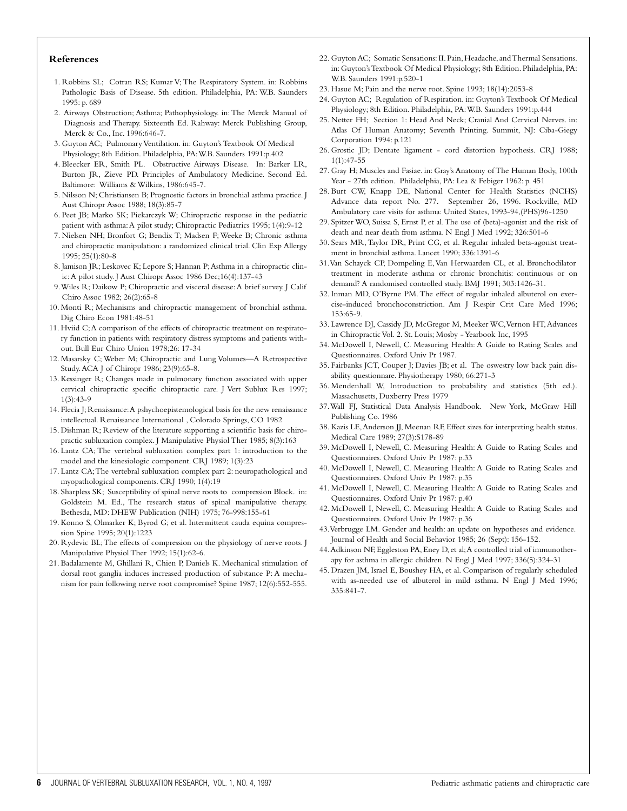#### **References**

- 1. Robbins SL; Cotran RS; Kumar V; The Respiratory System. in: Robbins Pathologic Basis of Disease. 5th edition. Philadelphia, PA: W.B. Saunders 1995: p. 689
- 2. Airways Obstruction; Asthma; Pathophysiology. in: The Merck Manual of Diagnosis and Therapy. Sixteenth Ed. Rahway: Merck Publishing Group, Merck & Co., Inc. 1996:646-7.
- 3. Guyton AC; Pulmonary Ventilation. in: Guyton's Textbook Of Medical Physiology; 8th Edition. Philadelphia, PA:W.B. Saunders 1991:p.402
- 4. Bleecker ER, Smith PL. Obstructive Airways Disease. In: Barker LR, Burton JR, Zieve PD. Principles of Ambulatory Medicine. Second Ed. Baltimore: Williams & Wilkins, 1986:645-7.
- 5. Nilsson N; Christiansen B; Prognostic factors in bronchial asthma practice. J Aust Chiropr Assoc 1988; 18(3):85-7
- 6. Peet JB; Marko SK; Piekarczyk W; Chiropractic response in the pediatric patient with asthma:A pilot study; Chiropractic Pediatrics 1995; 1(4):9-12
- 7. Nielsen NH; Bronfort G; Bendix T; Madsen F; Weeke B; Chronic asthma and chiropractic manipulation: a randomized clinical trial. Clin Exp Allergy 1995; 25(1):80-8
- 8. Jamison JR; Leskovec K; Lepore S; Hannan P;Asthma in a chiropractic clinic:A pilot study. J Aust Chiropr Assoc 1986 Dec;16(4):137-43
- 9. Wiles R; Daikow P; Chiropractic and visceral disease: A brief survey. J Calif Chiro Assoc 1982; 26(2):65-8
- 10. Monti R; Mechanisms and chiropractic management of bronchial asthma. Dig Chiro Econ 1981:48-51
- 11. Hviid C;A comparison of the effects of chiropractic treatment on respiratory function in patients with respiratory distress symptoms and patients without. Bull Eur Chiro Union 1978;26: 17-34
- 12. Masarsky C; Weber M; Chiropractic and Lung Volumes—A Retrospective Study.ACA J of Chiropr 1986; 23(9):65-8.
- 13. Kessinger R; Changes made in pulmonary function associated with upper cervical chiropractic specific chiropractic care. J Vert Sublux Res 1997; 1(3):43-9
- 14. Flecia J; Renaissance:A pshychoepistemological basis for the new renaissance intellectual. Renaissance International , Colorado Springs, CO 1982
- 15. Dishman R; Review of the literature supporting a scientific basis for chiropractic subluxation complex. J Manipulative Physiol Ther 1985; 8(3):163
- 16. Lantz CA; The vertebral subluxation complex part 1: introduction to the model and the kinesiologic component. CRJ 1989; 1(3):23
- 17. Lantz CA;The vertebral subluxation complex part 2: neuropathological and myopathological components. CRJ 1990; 1(4):19
- 18. Sharpless SK; Susceptibility of spinal nerve roots to compression Block. in: Goldstein M. Ed., The research status of spinal manipulative therapy. Bethesda, MD: DHEW Publication (NIH) 1975; 76-998:155-61
- 19. Konno S, Olmarker K; Byrod G; et al. Intermittent cauda equina compression Spine 1995; 20(1):1223
- 20. Rydevic BL;The effects of compression on the physiology of nerve roots. J Manipulative Physiol Ther 1992; 15(1):62-6.
- 21. Badalamente M, Ghillani R, Chien P, Daniels K. Mechanical stimulation of dorsal root ganglia induces increased production of substance P: A mechanism for pain following nerve root compromise? Spine 1987; 12(6):552-555.
- 22. Guyton AC; Somatic Sensations: II. Pain, Headache, and Thermal Sensations. in: Guyton's Textbook Of Medical Physiology; 8th Edition. Philadelphia, PA: W.B. Saunders 1991:p.520-1
- 23. Hasue M; Pain and the nerve root. Spine 1993; 18(14):2053-8
- 24. Guyton AC; Regulation of Respiration. in: Guyton's Textbook Of Medical Physiology; 8th Edition. Philadelphia, PA:W.B. Saunders 1991:p.444
- 25. Netter FH; Section 1: Head And Neck; Cranial And Cervical Nerves. in: Atlas Of Human Anatomy; Seventh Printing. Summit, NJ: Ciba-Giegy Corporation 1994: p.121
- 26. Grostic JD; Dentate ligament cord distortion hypothesis. CRJ 1988; 1(1):47-55
- 27. Gray H; Muscles and Fasiae. in: Gray's Anatomy of The Human Body, 100th Year - 27th edition. Philadelphia, PA: Lea & Febiger 1962: p. 451
- 28. Burt CW, Knapp DE, National Center for Health Statistics (NCHS) Advance data report No. 277. September 26, 1996. Rockville, MD Ambulatory care visits for asthma: United States, 1993-94,(PHS)96-1250
- 29. Spitzer WO, Suissa S, Ernst P, et al.The use of (beta)-agonist and the risk of death and near death from asthma. N Engl J Med 1992; 326:501-6
- 30. Sears MR, Taylor DR, Print CG, et al. Regular inhaled beta-agonist treatment in bronchial asthma. Lancet 1990; 336:1391-6
- 31.Van Schayck CP, Dompeling E,Van Herwaarden CL, et al. Bronchodilator treatment in moderate asthma or chronic bronchitis: continuous or on demand? A randomised controlled study. BMJ 1991; 303:1426-31.
- 32. Inman MD, O'Byrne PM. The effect of regular inhaled albuterol on exercise-induced bronchoconstriction. Am J Respir Crit Care Med 1996; 153:65-9.
- 33. Lawrence DJ, Cassidy JD, McGregor M, Meeker WC, Vernon HT, Advances in Chiropractic Vol. 2. St. Louis; Mosby - Yearbook Inc, 1995
- 34. McDowell I, Newell, C. Measuring Health: A Guide to Rating Scales and Questionnaires. Oxford Univ Pr 1987.
- 35. Fairbanks JCT, Couper J; Davies JB; et al. The oswestry low back pain disability questionnare. Physiotherapy 1980; 66:271-3
- 36. Mendenhall W, Introduction to probability and statistics (5th ed.). Massachusetts, Duxberry Press 1979
- 37.Wall FJ, Statistical Data Analysis Handbook. New York, McGraw Hill Publishing Co. 1986
- 38. Kazis LE,Anderson JJ, Meenan RF, Effect sizes for interpreting health status. Medical Care 1989; 27(3):S178-89
- 39. McDowell I, Newell, C. Measuring Health: A Guide to Rating Scales and Questionnaires. Oxford Univ Pr 1987: p.33
- 40. McDowell I, Newell, C. Measuring Health: A Guide to Rating Scales and Questionnaires. Oxford Univ Pr 1987: p.35
- 41. McDowell I, Newell, C. Measuring Health: A Guide to Rating Scales and Questionnaires. Oxford Univ Pr 1987: p.40
- 42. McDowell I, Newell, C. Measuring Health: A Guide to Rating Scales and Questionnaires. Oxford Univ Pr 1987: p.36
- 43.Verbrugge LM. Gender and health: an update on hypotheses and evidence. Journal of Health and Social Behavior 1985; 26 (Sept): 156-152.
- 44.Adkinson NF, Eggleston PA, Eney D, et al;A controlled trial of immunotherapy for asthma in allergic children. N Engl J Med 1997; 336(5):324-31
- 45. Drazen JM, Israel E, Boushey HA, et al. Comparison of regularly scheduled with as-needed use of albuterol in mild asthma. N Engl J Med 1996; 335:841-7.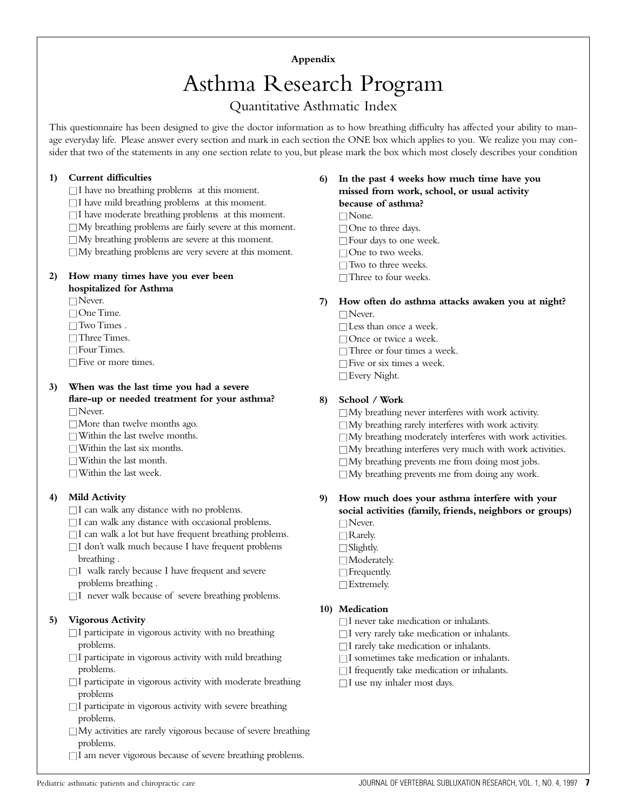## **Appendix**

# Asthma Research Program

## Quantitative Asthmatic Index

This questionnaire has been designed to give the doctor information as to how breathing difficulty has affected your ability to manage everyday life. Please answer every section and mark in each section the ONE box which applies to you. We realize you may consider that two of the statements in any one section relate to you, but please mark the box which most closely describes your condition

## **1) Current difficulties**

 $\Box$  I have no breathing problems at this moment.

 $\Box$  I have mild breathing problems at this moment.

 $\Box$  I have moderate breathing problems at this moment.

 $\Box$  My breathing problems are fairly severe at this moment.

 $\Box$  My breathing problems are severe at this moment.

 $\Box$  My breathing problems are very severe at this moment.

## **2) How many times have you ever been hospitalized for Asthma**

□ Never.

□ One Time.

 $\Box$  Two Times .

□ Three Times.

□ Four Times.

 $\square$  Five or more times.

#### **3) When was the last time you had a severe flare-up or needed treatment for your asthma?**

□ Never.

 $\Box$  More than twelve months ago.

- $\Box$  Within the last twelve months.
- $\Box$  Within the last six months.

 $\Box$  Within the last month.

 $\Box$  Within the last week.

## **4) Mild Activity**

 $\Box$  I can walk any distance with no problems.

- $\Box$  I can walk any distance with occasional problems.
- $\square$  I can walk a lot but have frequent breathing problems.
- $\Box$  I don't walk much because I have frequent problems breathing .
- $\Box$  I walk rarely because I have frequent and severe problems breathing .
- $\Box$  I never walk because of severe breathing problems.

## **5) Vigorous Activity**

- $\Box$  I participate in vigorous activity with no breathing problems.
- $\Box$  I participate in vigorous activity with mild breathing problems.
- $\Box$  I participate in vigorous activity with moderate breathing problems
- $\Box$  I participate in vigorous activity with severe breathing problems.
- $\Box$  My activities are rarely vigorous because of severe breathing problems.
- $\Box$  I am never vigorous because of severe breathing problems.
- **6) In the past 4 weeks how much time have you missed from work, school, or usual activity because of asthma?** □ None. □ One to three days.
	- $\Box$  Four days to one week.
	- □ One to two weeks.
	- □ Two to three weeks.
	- □ Three to four weeks.

## **7) How often do asthma attacks awaken you at night?**

- □ Never.
	- □ Less than once a week.
	- □ Once or twice a week.
	- □ Three or four times a week.
	- $\Box$  Five or six times a week.

□ Every Night.

## **8) School / Work**

 $\Box$  My breathing never interferes with work activity.  $\Box$  My breathing rarely interferes with work activity.  $\Box$  My breathing moderately interferes with work activities.  $\Box$  My breathing interferes very much with work activities.  $\Box$  My breathing prevents me from doing most jobs.  $\Box$  My breathing prevents me from doing any work.

## **9) How much does your asthma interfere with your social activities (family, friends, neighbors or groups)**

- □ Never.
- □ Rarely.
- □ Slightly.
- □ Moderately.
- $\Box$  Frequently.
- □ Extremely.

## **10) Medication**

- $\Box$  I never take medication or inhalants.
- $\Box$  I very rarely take medication or inhalants.
- $\Box$  I rarely take medication or inhalants.
- $\Box$  I sometimes take medication or inhalants.
- $\Box$  I frequently take medication or inhalants.
- $\Box$  I use my inhaler most days.